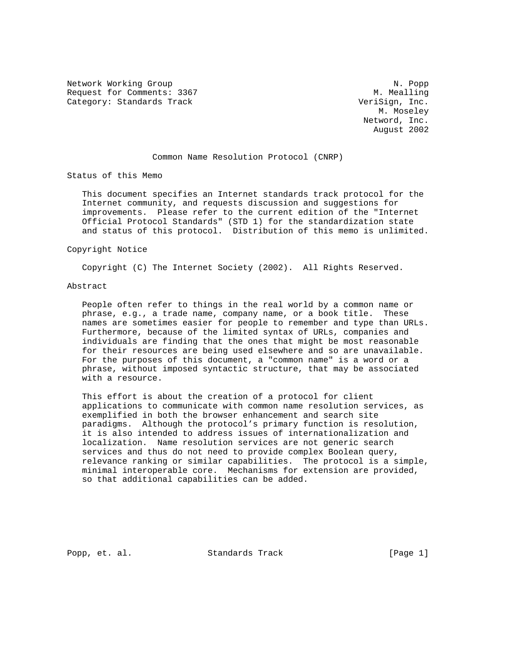Network Working Group Network Working Group Network Network Network Network Network Network Network Network Ne Request for Comments: 3367 M. Mealling Category: Standards Track VeriSign, Inc.

 M. Moseley Netword, Inc. August 2002

# Common Name Resolution Protocol (CNRP)

Status of this Memo

 This document specifies an Internet standards track protocol for the Internet community, and requests discussion and suggestions for improvements. Please refer to the current edition of the "Internet Official Protocol Standards" (STD 1) for the standardization state and status of this protocol. Distribution of this memo is unlimited.

#### Copyright Notice

Copyright (C) The Internet Society (2002). All Rights Reserved.

# Abstract

 People often refer to things in the real world by a common name or phrase, e.g., a trade name, company name, or a book title. These names are sometimes easier for people to remember and type than URLs. Furthermore, because of the limited syntax of URLs, companies and individuals are finding that the ones that might be most reasonable for their resources are being used elsewhere and so are unavailable. For the purposes of this document, a "common name" is a word or a phrase, without imposed syntactic structure, that may be associated with a resource.

 This effort is about the creation of a protocol for client applications to communicate with common name resolution services, as exemplified in both the browser enhancement and search site paradigms. Although the protocol's primary function is resolution, it is also intended to address issues of internationalization and localization. Name resolution services are not generic search services and thus do not need to provide complex Boolean query, relevance ranking or similar capabilities. The protocol is a simple, minimal interoperable core. Mechanisms for extension are provided, so that additional capabilities can be added.

Popp, et. al. Standards Track [Page 1]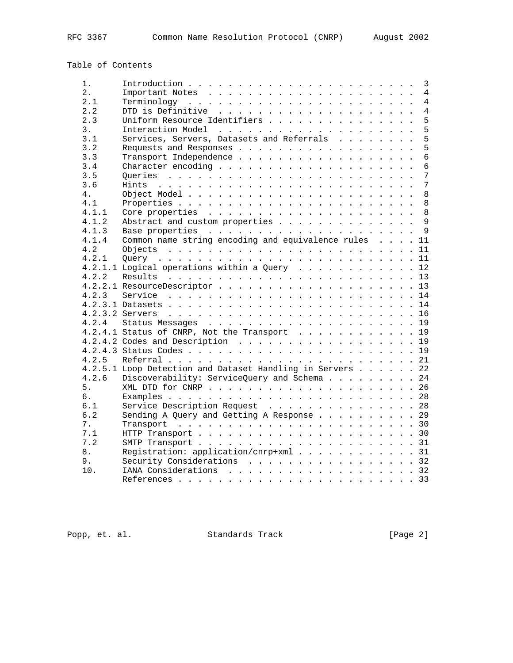Table of Contents

| 1.    |                                                           | $\mathbf{3}$    |
|-------|-----------------------------------------------------------|-----------------|
| 2.    |                                                           | $\overline{4}$  |
| 2.1   |                                                           | $\overline{4}$  |
| 2.2   |                                                           | $\overline{4}$  |
| 2.3   | Uniform Resource Identifiers                              | 5               |
| 3.    |                                                           | 5               |
| 3.1   | Services, Servers, Datasets and Referrals                 | 5               |
| 3.2   |                                                           | 5               |
| 3.3   |                                                           | $\overline{6}$  |
| 3.4   |                                                           | $6\overline{6}$ |
| 3.5   |                                                           | 7               |
| 3.6   |                                                           | 7               |
| 4.    |                                                           | 8               |
| 4.1   |                                                           | 8               |
| 4.1.1 |                                                           | 8               |
| 4.1.2 | Abstract and custom properties                            | $\overline{9}$  |
| 4.1.3 |                                                           |                 |
| 4.1.4 | Common name string encoding and equivalence rules 11      |                 |
| 4.2   |                                                           |                 |
| 4.2.1 |                                                           |                 |
|       | 4.2.1.1 Logical operations within a Query 12              |                 |
| 4.2.2 |                                                           |                 |
|       |                                                           |                 |
|       |                                                           |                 |
|       |                                                           |                 |
|       |                                                           |                 |
|       |                                                           |                 |
|       | 4.2.4.1 Status of CNRP, Not the Transport 19              |                 |
|       | $4.2.4.2$ Codes and Description 19                        |                 |
|       |                                                           |                 |
|       |                                                           |                 |
| 4.2.5 |                                                           |                 |
|       | 4.2.5.1 Loop Detection and Dataset Handling in Servers 22 |                 |
| 4.2.6 | Discoverability: ServiceQuery and Schema 24               |                 |
| 5.    |                                                           |                 |
| б.    |                                                           |                 |
| 6.1   | Service Description Request 28                            |                 |
| 6.2   | Sending A Query and Getting A Response 29                 |                 |
| 7.    |                                                           |                 |
| 7.1   |                                                           |                 |
| 7.2   |                                                           |                 |
| 8.    | Registration: application/cnrp+xml 31                     |                 |
| 9.    | Security Considerations 32                                |                 |
| 10.   | IANA Considerations 32                                    |                 |
|       |                                                           |                 |

Popp, et. al. Standards Track [Page 2]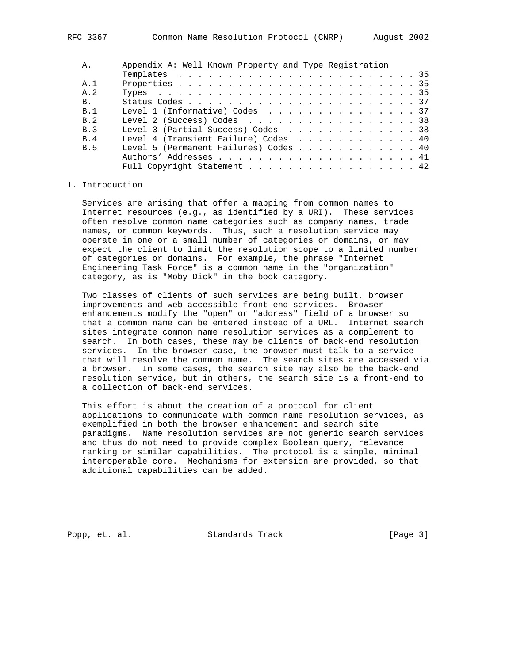| Α.             | Appendix A: Well Known Property and Type Registration |
|----------------|-------------------------------------------------------|
|                |                                                       |
| A. 1           |                                                       |
| A. 2           |                                                       |
| <b>B.</b>      |                                                       |
| B.1            | Level 1 (Informative) Codes 37                        |
| R 2            | Level 2 (Success) Codes $\ldots$ , 38                 |
| B.3            | Level 3 (Partial Success) Codes 38                    |
| R <sub>4</sub> | Level 4 (Transient Failure) Codes 40                  |
| B.5            | Level 5 (Permanent Failures) Codes 40                 |
|                |                                                       |
|                | Full Copyright Statement 42                           |

# 1. Introduction

 Services are arising that offer a mapping from common names to Internet resources (e.g., as identified by a URI). These services often resolve common name categories such as company names, trade names, or common keywords. Thus, such a resolution service may operate in one or a small number of categories or domains, or may expect the client to limit the resolution scope to a limited number of categories or domains. For example, the phrase "Internet Engineering Task Force" is a common name in the "organization" category, as is "Moby Dick" in the book category.

 Two classes of clients of such services are being built, browser improvements and web accessible front-end services. Browser enhancements modify the "open" or "address" field of a browser so that a common name can be entered instead of a URL. Internet search sites integrate common name resolution services as a complement to search. In both cases, these may be clients of back-end resolution services. In the browser case, the browser must talk to a service that will resolve the common name. The search sites are accessed via a browser. In some cases, the search site may also be the back-end resolution service, but in others, the search site is a front-end to a collection of back-end services.

 This effort is about the creation of a protocol for client applications to communicate with common name resolution services, as exemplified in both the browser enhancement and search site paradigms. Name resolution services are not generic search services and thus do not need to provide complex Boolean query, relevance ranking or similar capabilities. The protocol is a simple, minimal interoperable core. Mechanisms for extension are provided, so that additional capabilities can be added.

Popp, et. al. Standards Track [Page 3]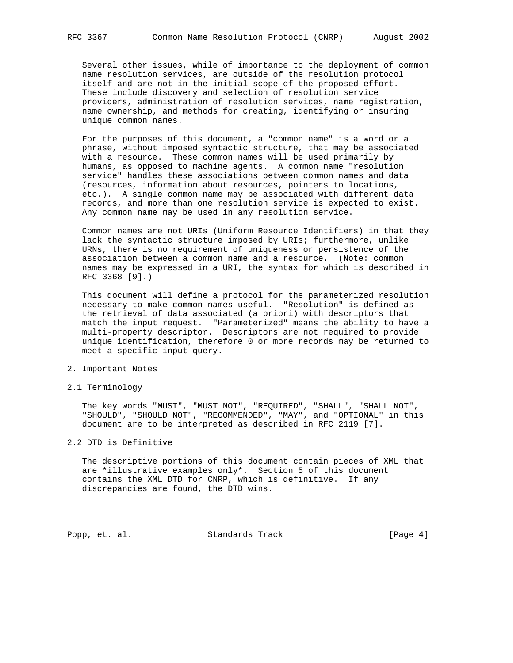Several other issues, while of importance to the deployment of common name resolution services, are outside of the resolution protocol itself and are not in the initial scope of the proposed effort. These include discovery and selection of resolution service providers, administration of resolution services, name registration, name ownership, and methods for creating, identifying or insuring unique common names.

 For the purposes of this document, a "common name" is a word or a phrase, without imposed syntactic structure, that may be associated with a resource. These common names will be used primarily by humans, as opposed to machine agents. A common name "resolution service" handles these associations between common names and data (resources, information about resources, pointers to locations, etc.). A single common name may be associated with different data records, and more than one resolution service is expected to exist. Any common name may be used in any resolution service.

 Common names are not URIs (Uniform Resource Identifiers) in that they lack the syntactic structure imposed by URIs; furthermore, unlike URNs, there is no requirement of uniqueness or persistence of the association between a common name and a resource. (Note: common names may be expressed in a URI, the syntax for which is described in RFC 3368 [9].)

 This document will define a protocol for the parameterized resolution necessary to make common names useful. "Resolution" is defined as the retrieval of data associated (a priori) with descriptors that match the input request. "Parameterized" means the ability to have a multi-property descriptor. Descriptors are not required to provide unique identification, therefore 0 or more records may be returned to meet a specific input query.

- 2. Important Notes
- 2.1 Terminology

 The key words "MUST", "MUST NOT", "REQUIRED", "SHALL", "SHALL NOT", "SHOULD", "SHOULD NOT", "RECOMMENDED", "MAY", and "OPTIONAL" in this document are to be interpreted as described in RFC 2119 [7].

# 2.2 DTD is Definitive

 The descriptive portions of this document contain pieces of XML that are \*illustrative examples only\*. Section 5 of this document contains the XML DTD for CNRP, which is definitive. If any discrepancies are found, the DTD wins.

Popp, et. al. Standards Track [Page 4]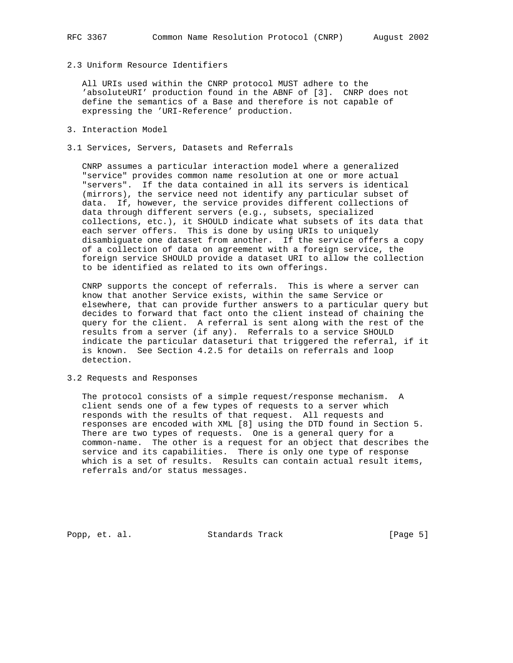2.3 Uniform Resource Identifiers

 All URIs used within the CNRP protocol MUST adhere to the 'absoluteURI' production found in the ABNF of [3]. CNRP does not define the semantics of a Base and therefore is not capable of expressing the 'URI-Reference' production.

- 3. Interaction Model
- 3.1 Services, Servers, Datasets and Referrals

 CNRP assumes a particular interaction model where a generalized "service" provides common name resolution at one or more actual "servers". If the data contained in all its servers is identical (mirrors), the service need not identify any particular subset of data. If, however, the service provides different collections of data through different servers (e.g., subsets, specialized collections, etc.), it SHOULD indicate what subsets of its data that each server offers. This is done by using URIs to uniquely disambiguate one dataset from another. If the service offers a copy of a collection of data on agreement with a foreign service, the foreign service SHOULD provide a dataset URI to allow the collection to be identified as related to its own offerings.

 CNRP supports the concept of referrals. This is where a server can know that another Service exists, within the same Service or elsewhere, that can provide further answers to a particular query but decides to forward that fact onto the client instead of chaining the query for the client. A referral is sent along with the rest of the results from a server (if any). Referrals to a service SHOULD indicate the particular dataseturi that triggered the referral, if it is known. See Section 4.2.5 for details on referrals and loop detection.

3.2 Requests and Responses

 The protocol consists of a simple request/response mechanism. A client sends one of a few types of requests to a server which responds with the results of that request. All requests and responses are encoded with XML [8] using the DTD found in Section 5. There are two types of requests. One is a general query for a common-name. The other is a request for an object that describes the service and its capabilities. There is only one type of response which is a set of results. Results can contain actual result items, referrals and/or status messages.

Popp, et. al. Standards Track [Page 5]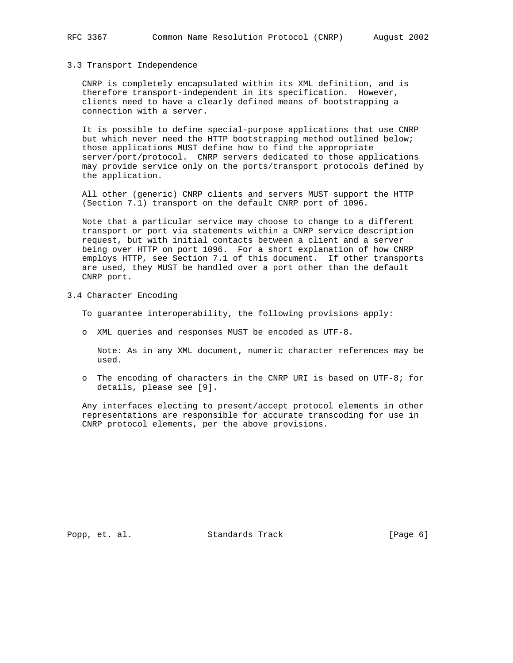# 3.3 Transport Independence

 CNRP is completely encapsulated within its XML definition, and is therefore transport-independent in its specification. However, clients need to have a clearly defined means of bootstrapping a connection with a server.

 It is possible to define special-purpose applications that use CNRP but which never need the HTTP bootstrapping method outlined below; those applications MUST define how to find the appropriate server/port/protocol. CNRP servers dedicated to those applications may provide service only on the ports/transport protocols defined by the application.

 All other (generic) CNRP clients and servers MUST support the HTTP (Section 7.1) transport on the default CNRP port of 1096.

 Note that a particular service may choose to change to a different transport or port via statements within a CNRP service description request, but with initial contacts between a client and a server being over HTTP on port 1096. For a short explanation of how CNRP employs HTTP, see Section 7.1 of this document. If other transports are used, they MUST be handled over a port other than the default CNRP port.

- 3.4 Character Encoding
	- To guarantee interoperability, the following provisions apply:
	- o XML queries and responses MUST be encoded as UTF-8.

 Note: As in any XML document, numeric character references may be used.

 o The encoding of characters in the CNRP URI is based on UTF-8; for details, please see [9].

 Any interfaces electing to present/accept protocol elements in other representations are responsible for accurate transcoding for use in CNRP protocol elements, per the above provisions.

Popp, et. al. Standards Track [Page 6]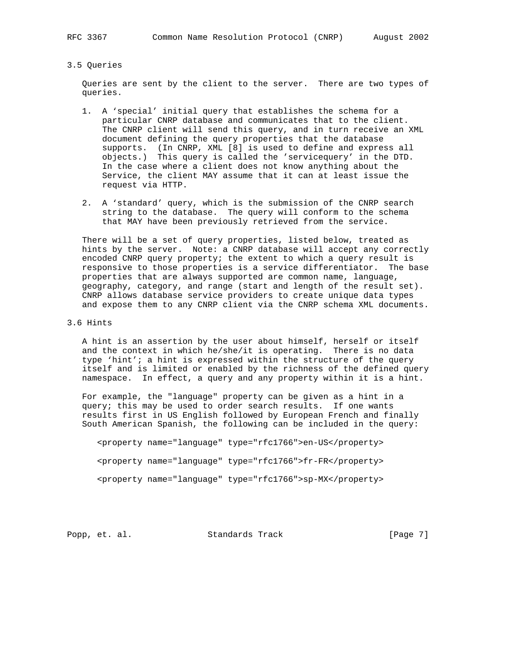# 3.5 Queries

 Queries are sent by the client to the server. There are two types of queries.

- 1. A 'special' initial query that establishes the schema for a particular CNRP database and communicates that to the client. The CNRP client will send this query, and in turn receive an XML document defining the query properties that the database supports. (In CNRP, XML [8] is used to define and express all objects.) This query is called the 'servicequery' in the DTD. In the case where a client does not know anything about the Service, the client MAY assume that it can at least issue the request via HTTP.
- 2. A 'standard' query, which is the submission of the CNRP search string to the database. The query will conform to the schema that MAY have been previously retrieved from the service.

 There will be a set of query properties, listed below, treated as hints by the server. Note: a CNRP database will accept any correctly encoded CNRP query property; the extent to which a query result is responsive to those properties is a service differentiator. The base properties that are always supported are common name, language, geography, category, and range (start and length of the result set). CNRP allows database service providers to create unique data types and expose them to any CNRP client via the CNRP schema XML documents.

# 3.6 Hints

 A hint is an assertion by the user about himself, herself or itself and the context in which he/she/it is operating. There is no data type 'hint'; a hint is expressed within the structure of the query itself and is limited or enabled by the richness of the defined query namespace. In effect, a query and any property within it is a hint.

 For example, the "language" property can be given as a hint in a query; this may be used to order search results. If one wants results first in US English followed by European French and finally South American Spanish, the following can be included in the query:

 <property name="language" type="rfc1766">en-US</property> <property name="language" type="rfc1766">fr-FR</property> <property name="language" type="rfc1766">sp-MX</property>

Popp, et. al. Standards Track [Page 7]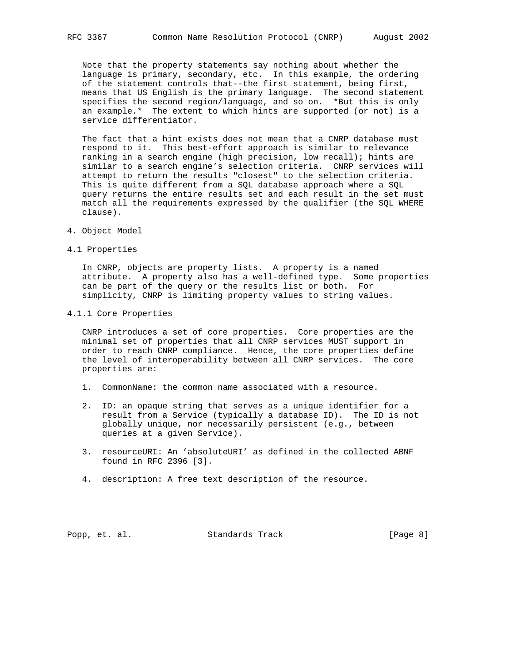Note that the property statements say nothing about whether the language is primary, secondary, etc. In this example, the ordering of the statement controls that--the first statement, being first, means that US English is the primary language. The second statement specifies the second region/language, and so on. \*But this is only an example.\* The extent to which hints are supported (or not) is a service differentiator.

 The fact that a hint exists does not mean that a CNRP database must respond to it. This best-effort approach is similar to relevance ranking in a search engine (high precision, low recall); hints are similar to a search engine's selection criteria. CNRP services will attempt to return the results "closest" to the selection criteria. This is quite different from a SQL database approach where a SQL query returns the entire results set and each result in the set must match all the requirements expressed by the qualifier (the SQL WHERE clause).

- 4. Object Model
- 4.1 Properties

 In CNRP, objects are property lists. A property is a named attribute. A property also has a well-defined type. Some properties can be part of the query or the results list or both. For simplicity, CNRP is limiting property values to string values.

4.1.1 Core Properties

 CNRP introduces a set of core properties. Core properties are the minimal set of properties that all CNRP services MUST support in order to reach CNRP compliance. Hence, the core properties define the level of interoperability between all CNRP services. The core properties are:

- 1. CommonName: the common name associated with a resource.
- 2. ID: an opaque string that serves as a unique identifier for a result from a Service (typically a database ID). The ID is not globally unique, nor necessarily persistent (e.g., between queries at a given Service).
- 3. resourceURI: An 'absoluteURI' as defined in the collected ABNF found in RFC 2396 [3].
- 4. description: A free text description of the resource.

Popp, et. al. Standards Track [Page 8]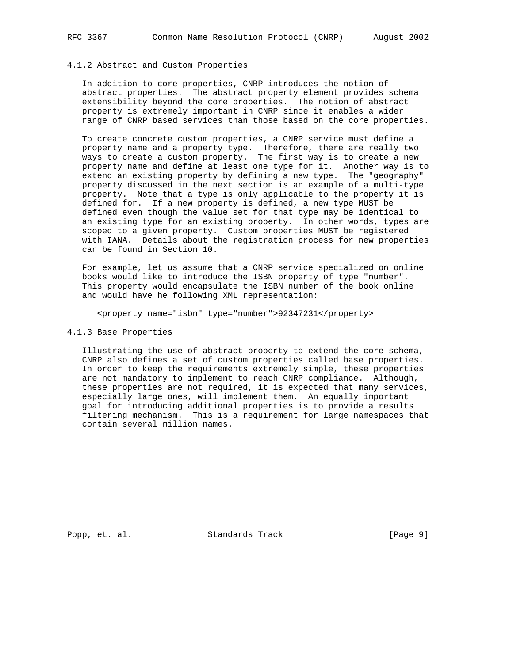# 4.1.2 Abstract and Custom Properties

 In addition to core properties, CNRP introduces the notion of abstract properties. The abstract property element provides schema extensibility beyond the core properties. The notion of abstract property is extremely important in CNRP since it enables a wider range of CNRP based services than those based on the core properties.

 To create concrete custom properties, a CNRP service must define a property name and a property type. Therefore, there are really two ways to create a custom property. The first way is to create a new property name and define at least one type for it. Another way is to extend an existing property by defining a new type. The "geography" property discussed in the next section is an example of a multi-type property. Note that a type is only applicable to the property it is defined for. If a new property is defined, a new type MUST be defined even though the value set for that type may be identical to an existing type for an existing property. In other words, types are scoped to a given property. Custom properties MUST be registered with IANA. Details about the registration process for new properties can be found in Section 10.

 For example, let us assume that a CNRP service specialized on online books would like to introduce the ISBN property of type "number". This property would encapsulate the ISBN number of the book online and would have he following XML representation:

<property name="isbn" type="number">92347231</property>

# 4.1.3 Base Properties

 Illustrating the use of abstract property to extend the core schema, CNRP also defines a set of custom properties called base properties. In order to keep the requirements extremely simple, these properties are not mandatory to implement to reach CNRP compliance. Although, these properties are not required, it is expected that many services, especially large ones, will implement them. An equally important goal for introducing additional properties is to provide a results filtering mechanism. This is a requirement for large namespaces that contain several million names.

Popp, et. al. Standards Track [Page 9]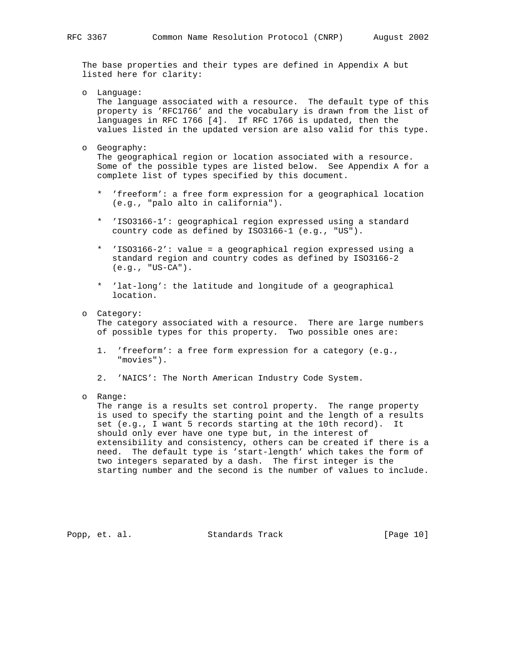The base properties and their types are defined in Appendix A but listed here for clarity:

- o Language: The language associated with a resource. The default type of this property is 'RFC1766' and the vocabulary is drawn from the list of languages in RFC 1766 [4]. If RFC 1766 is updated, then the values listed in the updated version are also valid for this type.
- o Geography:

 The geographical region or location associated with a resource. Some of the possible types are listed below. See Appendix A for a complete list of types specified by this document.

- \* 'freeform': a free form expression for a geographical location (e.g., "palo alto in california").
- \* 'ISO3166-1': geographical region expressed using a standard country code as defined by ISO3166-1 (e.g., "US").
- \* 'ISO3166-2': value = a geographical region expressed using a standard region and country codes as defined by ISO3166-2 (e.g., "US-CA").
- \* 'lat-long': the latitude and longitude of a geographical location.
- o Category:

 The category associated with a resource. There are large numbers of possible types for this property. Two possible ones are:

- 1. 'freeform': a free form expression for a category (e.g., "movies").
- 2. 'NAICS': The North American Industry Code System.
- o Range:

 The range is a results set control property. The range property is used to specify the starting point and the length of a results set (e.g., I want 5 records starting at the 10th record). It should only ever have one type but, in the interest of extensibility and consistency, others can be created if there is a need. The default type is 'start-length' which takes the form of two integers separated by a dash. The first integer is the starting number and the second is the number of values to include.

Popp, et. al. Standards Track [Page 10]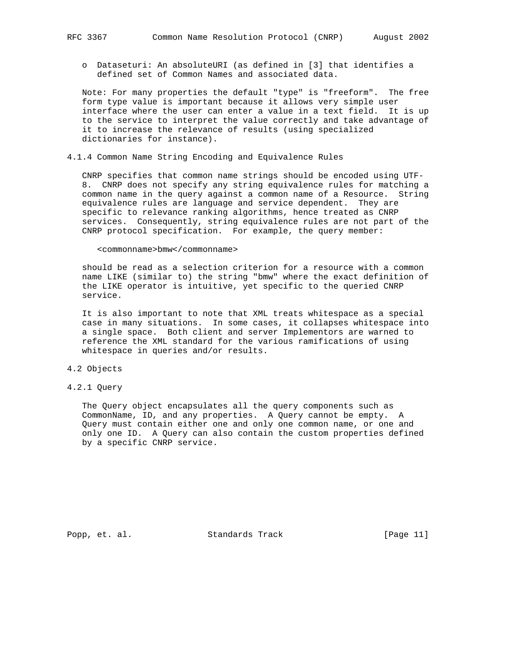o Dataseturi: An absoluteURI (as defined in [3] that identifies a defined set of Common Names and associated data.

 Note: For many properties the default "type" is "freeform". The free form type value is important because it allows very simple user interface where the user can enter a value in a text field. It is up to the service to interpret the value correctly and take advantage of it to increase the relevance of results (using specialized dictionaries for instance).

4.1.4 Common Name String Encoding and Equivalence Rules

 CNRP specifies that common name strings should be encoded using UTF- 8. CNRP does not specify any string equivalence rules for matching a common name in the query against a common name of a Resource. String equivalence rules are language and service dependent. They are specific to relevance ranking algorithms, hence treated as CNRP services. Consequently, string equivalence rules are not part of the CNRP protocol specification. For example, the query member:

#### <commonname>bmw</commonname>

 should be read as a selection criterion for a resource with a common name LIKE (similar to) the string "bmw" where the exact definition of the LIKE operator is intuitive, yet specific to the queried CNRP service.

 It is also important to note that XML treats whitespace as a special case in many situations. In some cases, it collapses whitespace into a single space. Both client and server Implementors are warned to reference the XML standard for the various ramifications of using whitespace in queries and/or results.

# 4.2 Objects

4.2.1 Query

 The Query object encapsulates all the query components such as CommonName, ID, and any properties. A Query cannot be empty. A Query must contain either one and only one common name, or one and only one ID. A Query can also contain the custom properties defined by a specific CNRP service.

Popp, et. al. Standards Track [Page 11]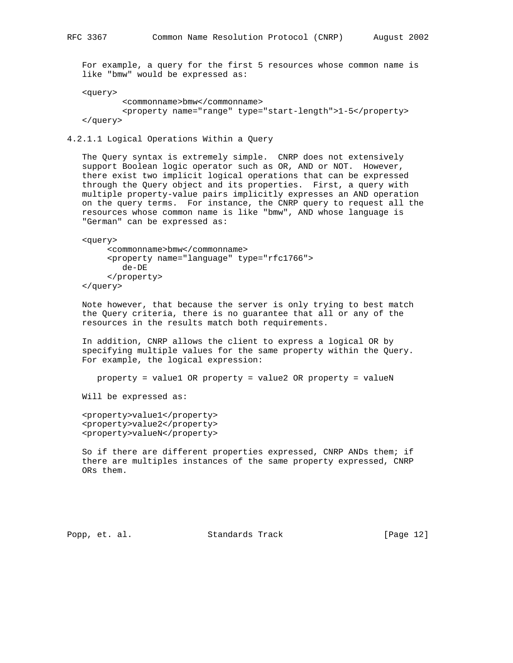For example, a query for the first 5 resources whose common name is like "bmw" would be expressed as:

<query>

```
 <commonname>bmw</commonname>
         <property name="range" type="start-length">1-5</property>
 </query>
```
4.2.1.1 Logical Operations Within a Query

 The Query syntax is extremely simple. CNRP does not extensively support Boolean logic operator such as OR, AND or NOT. However, there exist two implicit logical operations that can be expressed through the Query object and its properties. First, a query with multiple property-value pairs implicitly expresses an AND operation on the query terms. For instance, the CNRP query to request all the resources whose common name is like "bmw", AND whose language is "German" can be expressed as:

```
 <query>
      <commonname>bmw</commonname>
      <property name="language" type="rfc1766">
         de-DE
      </property>
 </query>
```
 Note however, that because the server is only trying to best match the Query criteria, there is no guarantee that all or any of the resources in the results match both requirements.

 In addition, CNRP allows the client to express a logical OR by specifying multiple values for the same property within the Query. For example, the logical expression:

property = value1 OR property = value2 OR property = valueN

Will be expressed as:

 <property>value1</property> <property>value2</property> <property>valueN</property>

 So if there are different properties expressed, CNRP ANDs them; if there are multiples instances of the same property expressed, CNRP ORs them.

Popp, et. al. Standards Track [Page 12]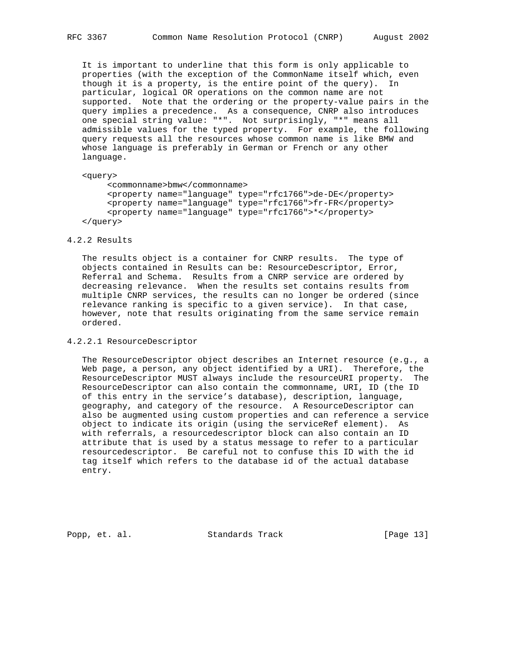It is important to underline that this form is only applicable to properties (with the exception of the CommonName itself which, even though it is a property, is the entire point of the query). In particular, logical OR operations on the common name are not supported. Note that the ordering or the property-value pairs in the query implies a precedence. As a consequence, CNRP also introduces one special string value: "\*". Not surprisingly, "\*" means all admissible values for the typed property. For example, the following query requests all the resources whose common name is like BMW and whose language is preferably in German or French or any other language.

<query>

 <commonname>bmw</commonname> <property name="language" type="rfc1766">de-DE</property> <property name="language" type="rfc1766">fr-FR</property> <property name="language" type="rfc1766">\*</property> </query>

#### 4.2.2 Results

 The results object is a container for CNRP results. The type of objects contained in Results can be: ResourceDescriptor, Error, Referral and Schema. Results from a CNRP service are ordered by decreasing relevance. When the results set contains results from multiple CNRP services, the results can no longer be ordered (since relevance ranking is specific to a given service). In that case, however, note that results originating from the same service remain ordered.

4.2.2.1 ResourceDescriptor

 The ResourceDescriptor object describes an Internet resource (e.g., a Web page, a person, any object identified by a URI). Therefore, the ResourceDescriptor MUST always include the resourceURI property. The ResourceDescriptor can also contain the commonname, URI, ID (the ID of this entry in the service's database), description, language, geography, and category of the resource. A ResourceDescriptor can also be augmented using custom properties and can reference a service object to indicate its origin (using the serviceRef element). As with referrals, a resourcedescriptor block can also contain an ID attribute that is used by a status message to refer to a particular resourcedescriptor. Be careful not to confuse this ID with the id tag itself which refers to the database id of the actual database entry.

Popp, et. al. Standards Track [Page 13]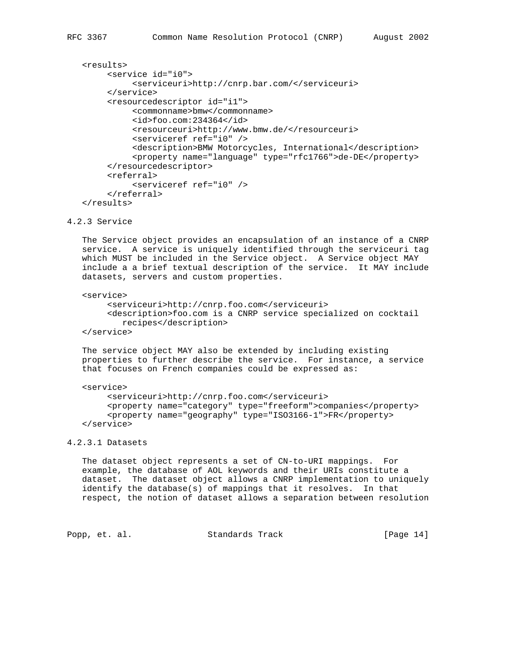```
 <results>
      <service id="i0">
           <serviceuri>http://cnrp.bar.com/</serviceuri>
      </service>
      <resourcedescriptor id="i1">
           <commonname>bmw</commonname>
           <id>foo.com:234364</id>
           <resourceuri>http://www.bmw.de/</resourceuri>
           <serviceref ref="i0" />
           <description>BMW Motorcycles, International</description>
           <property name="language" type="rfc1766">de-DE</property>
      </resourcedescriptor>
      <referral>
           <serviceref ref="i0" />
      </referral>
 </results>
```
### 4.2.3 Service

 The Service object provides an encapsulation of an instance of a CNRP service. A service is uniquely identified through the serviceuri tag which MUST be included in the Service object. A Service object MAY include a a brief textual description of the service. It MAY include datasets, servers and custom properties.

# <service>

 <serviceuri>http://cnrp.foo.com</serviceuri> <description>foo.com is a CNRP service specialized on cocktail recipes</description>

</service>

 The service object MAY also be extended by including existing properties to further describe the service. For instance, a service that focuses on French companies could be expressed as:

```
 <service>
      <serviceuri>http://cnrp.foo.com</serviceuri>
      <property name="category" type="freeform">companies</property>
      <property name="geography" type="ISO3166-1">FR</property>
 </service>
```
# 4.2.3.1 Datasets

 The dataset object represents a set of CN-to-URI mappings. For example, the database of AOL keywords and their URIs constitute a dataset. The dataset object allows a CNRP implementation to uniquely identify the database(s) of mappings that it resolves. In that respect, the notion of dataset allows a separation between resolution

Popp, et. al. Standards Track [Page 14]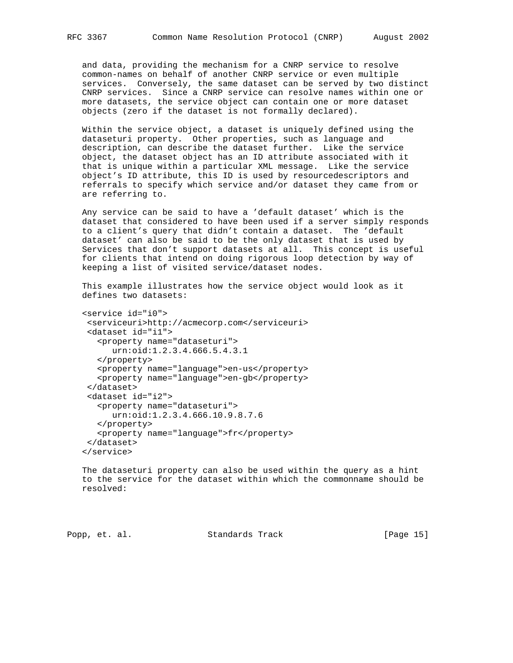and data, providing the mechanism for a CNRP service to resolve common-names on behalf of another CNRP service or even multiple services. Conversely, the same dataset can be served by two distinct CNRP services. Since a CNRP service can resolve names within one or more datasets, the service object can contain one or more dataset objects (zero if the dataset is not formally declared).

 Within the service object, a dataset is uniquely defined using the dataseturi property. Other properties, such as language and description, can describe the dataset further. Like the service object, the dataset object has an ID attribute associated with it that is unique within a particular XML message. Like the service object's ID attribute, this ID is used by resourcedescriptors and referrals to specify which service and/or dataset they came from or are referring to.

 Any service can be said to have a 'default dataset' which is the dataset that considered to have been used if a server simply responds to a client's query that didn't contain a dataset. The 'default dataset' can also be said to be the only dataset that is used by Services that don't support datasets at all. This concept is useful for clients that intend on doing rigorous loop detection by way of keeping a list of visited service/dataset nodes.

 This example illustrates how the service object would look as it defines two datasets:

```
 <service id="i0">
 <serviceuri>http://acmecorp.com</serviceuri>
  <dataset id="i1">
    <property name="dataseturi">
      urn:oid:1.2.3.4.666.5.4.3.1
    </property>
    <property name="language">en-us</property>
    <property name="language">en-gb</property>
  </dataset>
  <dataset id="i2">
    <property name="dataseturi">
       urn:oid:1.2.3.4.666.10.9.8.7.6
    </property>
    <property name="language">fr</property>
  </dataset>
 </service>
```
 The dataseturi property can also be used within the query as a hint to the service for the dataset within which the commonname should be resolved:

Popp, et. al. Standards Track [Page 15]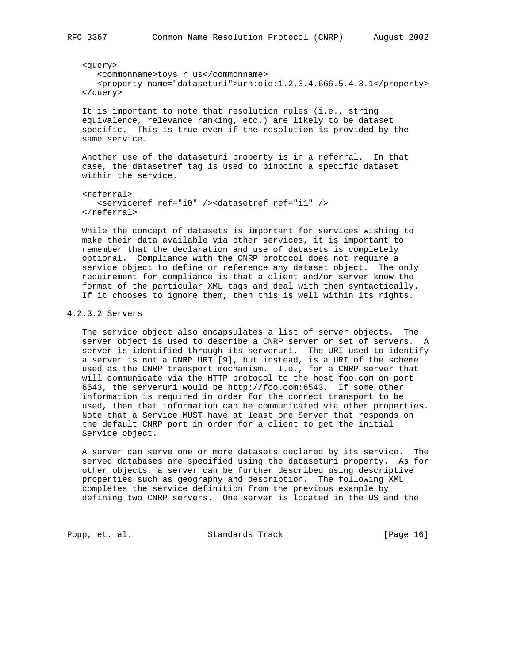<query> <commonname>toys r us</commonname> <property name="dataseturi">urn:oid:1.2.3.4.666.5.4.3.1</property>

 </query> It is important to note that resolution rules (i.e., string

 equivalence, relevance ranking, etc.) are likely to be dataset specific. This is true even if the resolution is provided by the same service.

 Another use of the dataseturi property is in a referral. In that case, the datasetref tag is used to pinpoint a specific dataset within the service.

```
 <referral>
    <serviceref ref="i0" /><datasetref ref="i1" />
 </referral>
```
 While the concept of datasets is important for services wishing to make their data available via other services, it is important to remember that the declaration and use of datasets is completely optional. Compliance with the CNRP protocol does not require a service object to define or reference any dataset object. The only requirement for compliance is that a client and/or server know the format of the particular XML tags and deal with them syntactically. If it chooses to ignore them, then this is well within its rights.

# 4.2.3.2 Servers

 The service object also encapsulates a list of server objects. The server object is used to describe a CNRP server or set of servers. A server is identified through its serveruri. The URI used to identify a server is not a CNRP URI [9], but instead, is a URI of the scheme used as the CNRP transport mechanism. I.e., for a CNRP server that will communicate via the HTTP protocol to the host foo.com on port 6543, the serveruri would be http://foo.com:6543. If some other information is required in order for the correct transport to be used, then that information can be communicated via other properties. Note that a Service MUST have at least one Server that responds on the default CNRP port in order for a client to get the initial Service object.

 A server can serve one or more datasets declared by its service. The served databases are specified using the dataseturi property. As for other objects, a server can be further described using descriptive properties such as geography and description. The following XML completes the service definition from the previous example by defining two CNRP servers. One server is located in the US and the

Popp, et. al. Standards Track [Page 16]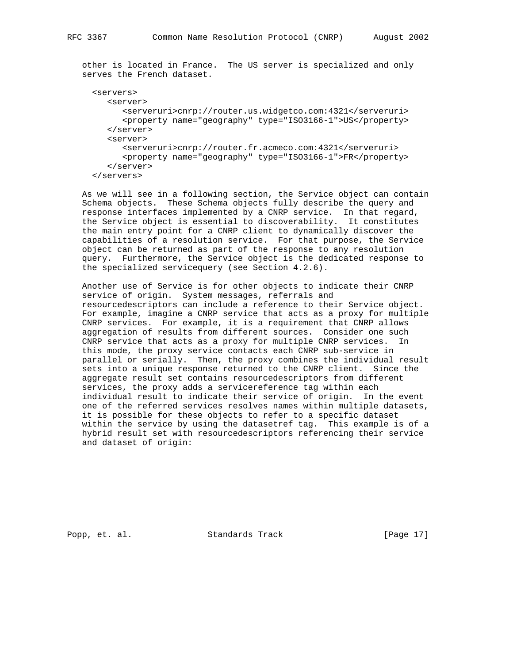other is located in France. The US server is specialized and only serves the French dataset.

```
 <servers>
    <server>
       <serveruri>cnrp://router.us.widgetco.com:4321</serveruri>
       <property name="geography" type="ISO3166-1">US</property>
    </server>
    <server>
       <serveruri>cnrp://router.fr.acmeco.com:4321</serveruri>
       <property name="geography" type="ISO3166-1">FR</property>
    </server>
 </servers>
```
 As we will see in a following section, the Service object can contain Schema objects. These Schema objects fully describe the query and response interfaces implemented by a CNRP service. In that regard, the Service object is essential to discoverability. It constitutes the main entry point for a CNRP client to dynamically discover the capabilities of a resolution service. For that purpose, the Service object can be returned as part of the response to any resolution query. Furthermore, the Service object is the dedicated response to the specialized servicequery (see Section 4.2.6).

 Another use of Service is for other objects to indicate their CNRP service of origin. System messages, referrals and resourcedescriptors can include a reference to their Service object. For example, imagine a CNRP service that acts as a proxy for multiple CNRP services. For example, it is a requirement that CNRP allows aggregation of results from different sources. Consider one such CNRP service that acts as a proxy for multiple CNRP services. In this mode, the proxy service contacts each CNRP sub-service in parallel or serially. Then, the proxy combines the individual result sets into a unique response returned to the CNRP client. Since the aggregate result set contains resourcedescriptors from different services, the proxy adds a servicereference tag within each individual result to indicate their service of origin. In the event one of the referred services resolves names within multiple datasets, it is possible for these objects to refer to a specific dataset within the service by using the datasetref tag. This example is of a hybrid result set with resourcedescriptors referencing their service and dataset of origin:

Popp, et. al. Standards Track [Page 17]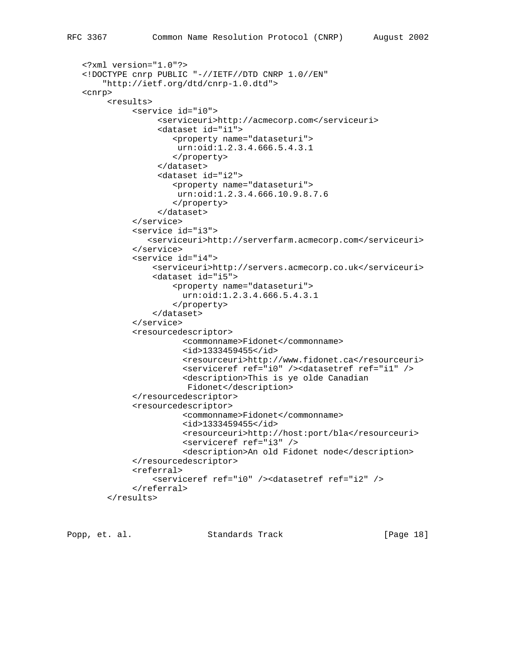```
 <?xml version="1.0"?>
 <!DOCTYPE cnrp PUBLIC "-//IETF//DTD CNRP 1.0//EN"
     "http://ietf.org/dtd/cnrp-1.0.dtd">
 <cnrp>
      <results>
           <service id="i0">
                <serviceuri>http://acmecorp.com</serviceuri>
                <dataset id="i1">
                    <property name="dataseturi">
                    urn:oid:1.2.3.4.666.5.4.3.1
                    </property>
                </dataset>
                <dataset id="i2">
                    <property name="dataseturi">
                    urn:oid:1.2.3.4.666.10.9.8.7.6
                    </property>
                </dataset>
           </service>
           <service id="i3">
              <serviceuri>http://serverfarm.acmecorp.com</serviceuri>
           </service>
           <service id="i4">
               <serviceuri>http://servers.acmecorp.co.uk</serviceuri>
               <dataset id="i5">
                    <property name="dataseturi">
                      urn:oid:1.2.3.4.666.5.4.3.1
                    </property>
               </dataset>
           </service>
           <resourcedescriptor>
                      <commonname>Fidonet</commonname>
                      <id>1333459455</id>
                      <resourceuri>http://www.fidonet.ca</resourceuri>
                      <serviceref ref="i0" /><datasetref ref="i1" />
                      <description>This is ye olde Canadian
                      Fidonet</description>
           </resourcedescriptor>
           <resourcedescriptor>
                      <commonname>Fidonet</commonname>
                      <id>1333459455</id>
                      <resourceuri>http://host:port/bla</resourceuri>
                      <serviceref ref="i3" />
                      <description>An old Fidonet node</description>
           </resourcedescriptor>
           <referral>
               <serviceref ref="i0" /><datasetref ref="i2" />
           </referral>
      </results>
```
Popp, et. al. Standards Track [Page 18]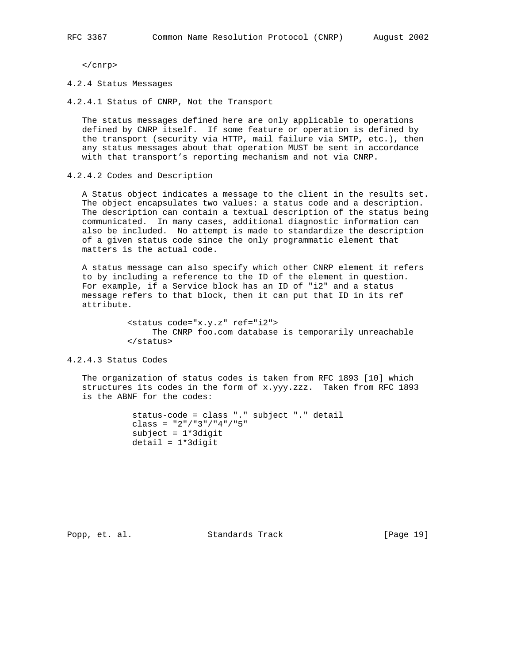</cnrp>

4.2.4 Status Messages

4.2.4.1 Status of CNRP, Not the Transport

 The status messages defined here are only applicable to operations defined by CNRP itself. If some feature or operation is defined by the transport (security via HTTP, mail failure via SMTP, etc.), then any status messages about that operation MUST be sent in accordance with that transport's reporting mechanism and not via CNRP.

4.2.4.2 Codes and Description

 A Status object indicates a message to the client in the results set. The object encapsulates two values: a status code and a description. The description can contain a textual description of the status being communicated. In many cases, additional diagnostic information can also be included. No attempt is made to standardize the description of a given status code since the only programmatic element that matters is the actual code.

 A status message can also specify which other CNRP element it refers to by including a reference to the ID of the element in question. For example, if a Service block has an ID of "i2" and a status message refers to that block, then it can put that ID in its ref attribute.

> <status code="x.y.z" ref="i2"> The CNRP foo.com database is temporarily unreachable </status>

4.2.4.3 Status Codes

 The organization of status codes is taken from RFC 1893 [10] which structures its codes in the form of x.yyy.zzz. Taken from RFC 1893 is the ABNF for the codes:

> status-code = class "." subject "." detail class =  $"2"/"3"/"4"/"5"$  subject = 1\*3digit detail = 1\*3digit

Popp, et. al. Standards Track [Page 19]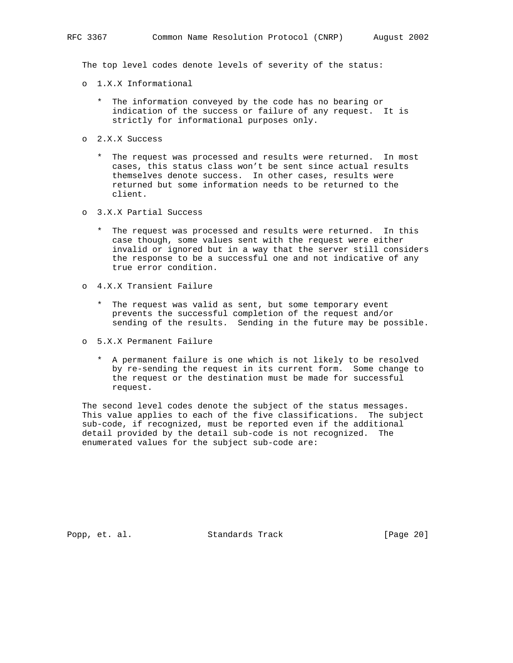The top level codes denote levels of severity of the status:

- o 1.X.X Informational
	- \* The information conveyed by the code has no bearing or indication of the success or failure of any request. It is strictly for informational purposes only.
- o 2.X.X Success
	- \* The request was processed and results were returned. In most cases, this status class won't be sent since actual results themselves denote success. In other cases, results were returned but some information needs to be returned to the client.
- o 3.X.X Partial Success
	- \* The request was processed and results were returned. In this case though, some values sent with the request were either invalid or ignored but in a way that the server still considers the response to be a successful one and not indicative of any true error condition.
- o 4.X.X Transient Failure
	- \* The request was valid as sent, but some temporary event prevents the successful completion of the request and/or sending of the results. Sending in the future may be possible.
- o 5.X.X Permanent Failure
	- \* A permanent failure is one which is not likely to be resolved by re-sending the request in its current form. Some change to the request or the destination must be made for successful request.

 The second level codes denote the subject of the status messages. This value applies to each of the five classifications. The subject sub-code, if recognized, must be reported even if the additional detail provided by the detail sub-code is not recognized. The enumerated values for the subject sub-code are:

Popp, et. al. Standards Track [Page 20]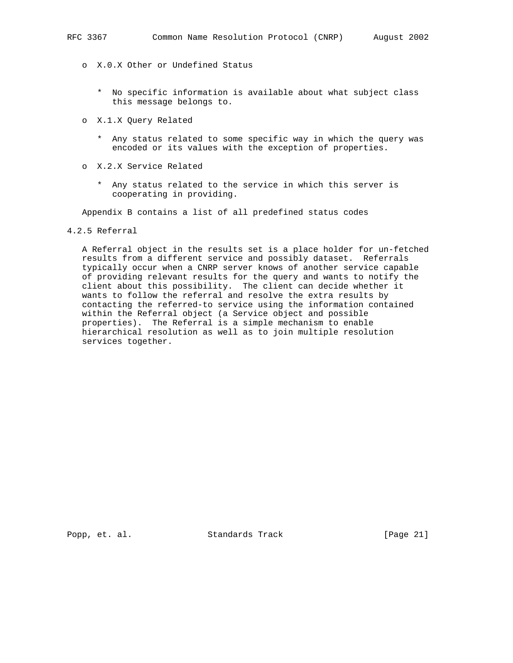- o X.0.X Other or Undefined Status
	- \* No specific information is available about what subject class this message belongs to.
- o X.1.X Query Related
	- \* Any status related to some specific way in which the query was encoded or its values with the exception of properties.
- o X.2.X Service Related
	- \* Any status related to the service in which this server is cooperating in providing.

Appendix B contains a list of all predefined status codes

# 4.2.5 Referral

 A Referral object in the results set is a place holder for un-fetched results from a different service and possibly dataset. Referrals typically occur when a CNRP server knows of another service capable of providing relevant results for the query and wants to notify the client about this possibility. The client can decide whether it wants to follow the referral and resolve the extra results by contacting the referred-to service using the information contained within the Referral object (a Service object and possible properties). The Referral is a simple mechanism to enable hierarchical resolution as well as to join multiple resolution services together.

Popp, et. al. Standards Track [Page 21]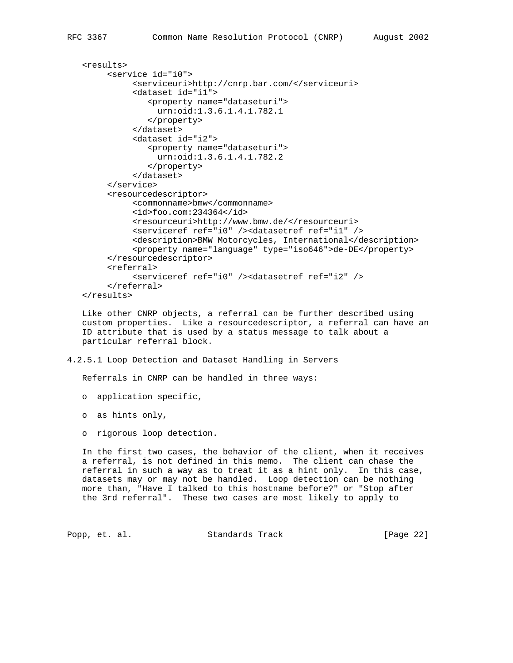```
 <results>
      <service id="i0">
           <serviceuri>http://cnrp.bar.com/</serviceuri>
           <dataset id="i1">
              <property name="dataseturi">
                urn:oid:1.3.6.1.4.1.782.1
              </property>
           </dataset>
           <dataset id="i2">
              <property name="dataseturi">
                urn:oid:1.3.6.1.4.1.782.2
              </property>
           </dataset>
      </service>
      <resourcedescriptor>
           <commonname>bmw</commonname>
           <id>foo.com:234364</id>
           <resourceuri>http://www.bmw.de/</resourceuri>
           <serviceref ref="i0" /><datasetref ref="i1" />
           <description>BMW Motorcycles, International</description>
           <property name="language" type="iso646">de-DE</property>
      </resourcedescriptor>
      <referral>
           <serviceref ref="i0" /><datasetref ref="i2" />
      </referral>
 </results>
```
 Like other CNRP objects, a referral can be further described using custom properties. Like a resourcedescriptor, a referral can have an ID attribute that is used by a status message to talk about a particular referral block.

4.2.5.1 Loop Detection and Dataset Handling in Servers

Referrals in CNRP can be handled in three ways:

o application specific,

o as hints only,

o rigorous loop detection.

 In the first two cases, the behavior of the client, when it receives a referral, is not defined in this memo. The client can chase the referral in such a way as to treat it as a hint only. In this case, datasets may or may not be handled. Loop detection can be nothing more than, "Have I talked to this hostname before?" or "Stop after the 3rd referral". These two cases are most likely to apply to

Popp, et. al. Standards Track [Page 22]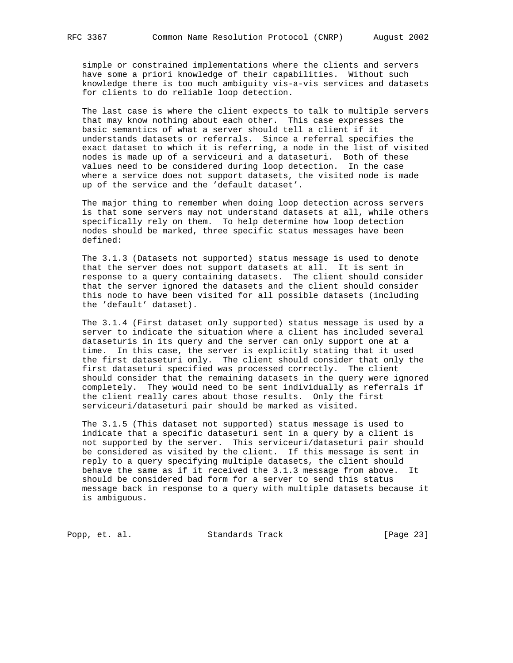simple or constrained implementations where the clients and servers have some a priori knowledge of their capabilities. Without such knowledge there is too much ambiguity vis-a-vis services and datasets for clients to do reliable loop detection.

 The last case is where the client expects to talk to multiple servers that may know nothing about each other. This case expresses the basic semantics of what a server should tell a client if it understands datasets or referrals. Since a referral specifies the exact dataset to which it is referring, a node in the list of visited nodes is made up of a serviceuri and a dataseturi. Both of these values need to be considered during loop detection. In the case where a service does not support datasets, the visited node is made up of the service and the 'default dataset'.

 The major thing to remember when doing loop detection across servers is that some servers may not understand datasets at all, while others specifically rely on them. To help determine how loop detection nodes should be marked, three specific status messages have been defined:

 The 3.1.3 (Datasets not supported) status message is used to denote that the server does not support datasets at all. It is sent in response to a query containing datasets. The client should consider that the server ignored the datasets and the client should consider this node to have been visited for all possible datasets (including the 'default' dataset).

 The 3.1.4 (First dataset only supported) status message is used by a server to indicate the situation where a client has included several dataseturis in its query and the server can only support one at a time. In this case, the server is explicitly stating that it used the first dataseturi only. The client should consider that only the first dataseturi specified was processed correctly. The client should consider that the remaining datasets in the query were ignored completely. They would need to be sent individually as referrals if the client really cares about those results. Only the first serviceuri/dataseturi pair should be marked as visited.

 The 3.1.5 (This dataset not supported) status message is used to indicate that a specific dataseturi sent in a query by a client is not supported by the server. This serviceuri/dataseturi pair should be considered as visited by the client. If this message is sent in reply to a query specifying multiple datasets, the client should behave the same as if it received the 3.1.3 message from above. It should be considered bad form for a server to send this status message back in response to a query with multiple datasets because it is ambiguous.

Popp, et. al. Standards Track [Page 23]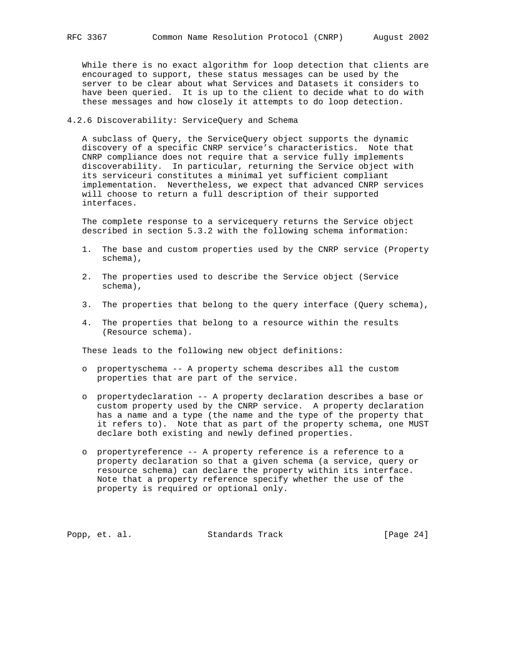While there is no exact algorithm for loop detection that clients are encouraged to support, these status messages can be used by the server to be clear about what Services and Datasets it considers to have been queried. It is up to the client to decide what to do with these messages and how closely it attempts to do loop detection.

# 4.2.6 Discoverability: ServiceQuery and Schema

 A subclass of Query, the ServiceQuery object supports the dynamic discovery of a specific CNRP service's characteristics. Note that CNRP compliance does not require that a service fully implements discoverability. In particular, returning the Service object with its serviceuri constitutes a minimal yet sufficient compliant implementation. Nevertheless, we expect that advanced CNRP services will choose to return a full description of their supported interfaces.

 The complete response to a servicequery returns the Service object described in section 5.3.2 with the following schema information:

- 1. The base and custom properties used by the CNRP service (Property schema),
- 2. The properties used to describe the Service object (Service schema),
- 3. The properties that belong to the query interface (Query schema),
- 4. The properties that belong to a resource within the results (Resource schema).

These leads to the following new object definitions:

- o propertyschema -- A property schema describes all the custom properties that are part of the service.
- o propertydeclaration -- A property declaration describes a base or custom property used by the CNRP service. A property declaration has a name and a type (the name and the type of the property that it refers to). Note that as part of the property schema, one MUST declare both existing and newly defined properties.
- o propertyreference -- A property reference is a reference to a property declaration so that a given schema (a service, query or resource schema) can declare the property within its interface. Note that a property reference specify whether the use of the property is required or optional only.

Popp, et. al. Standards Track [Page 24]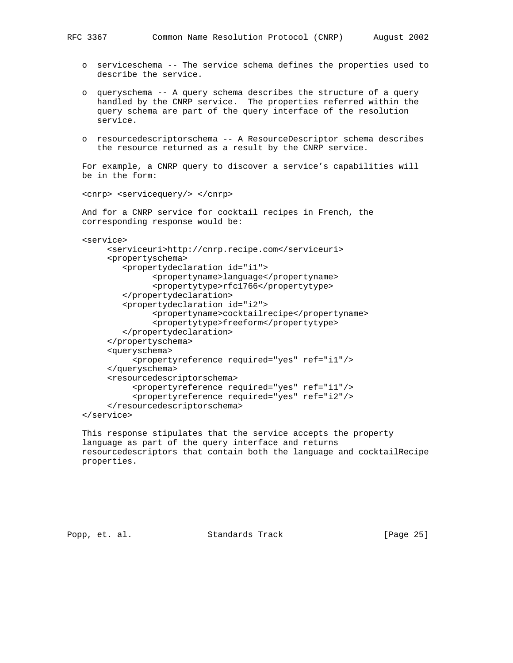- o serviceschema -- The service schema defines the properties used to describe the service.
- o queryschema -- A query schema describes the structure of a query handled by the CNRP service. The properties referred within the query schema are part of the query interface of the resolution service.
- o resourcedescriptorschema -- A ResourceDescriptor schema describes the resource returned as a result by the CNRP service.

 For example, a CNRP query to discover a service's capabilities will be in the form:

<cnrp> <servicequery/> </cnrp>

 And for a CNRP service for cocktail recipes in French, the corresponding response would be:

```
 <service>
```

```
 <serviceuri>http://cnrp.recipe.com</serviceuri>
      <propertyschema>
         <propertydeclaration id="i1">
               <propertyname>language</propertyname>
               <propertytype>rfc1766</propertytype>
         </propertydeclaration>
         <propertydeclaration id="i2">
               <propertyname>cocktailrecipe</propertyname>
               <propertytype>freeform</propertytype>
         </propertydeclaration>
      </propertyschema>
      <queryschema>
           <propertyreference required="yes" ref="i1"/>
      </queryschema>
      <resourcedescriptorschema>
           <propertyreference required="yes" ref="i1"/>
           <propertyreference required="yes" ref="i2"/>
      </resourcedescriptorschema>
 </service>
```
 This response stipulates that the service accepts the property language as part of the query interface and returns resourcedescriptors that contain both the language and cocktailRecipe properties.

Popp, et. al. Standards Track [Page 25]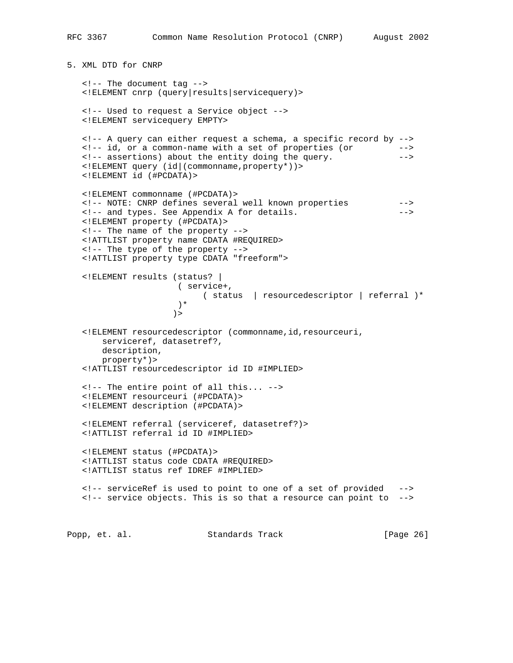5. XML DTD for CNRP

 <!-- The document tag --> <!ELEMENT cnrp (query|results|servicequery)> <!-- Used to request a Service object --> <!ELEMENT servicequery EMPTY> <!-- A query can either request a schema, a specific record by --> <!-- id, or a common-name with a set of properties (or --> <!-- assertions) about the entity doing the query. --> <!ELEMENT query (id|(commonname,property\*))> <!ELEMENT id (#PCDATA)> <!ELEMENT commonname (#PCDATA)> <!-- NOTE: CNRP defines several well known properties --> <!-- and types. See Appendix A for details. --> <!ELEMENT property (#PCDATA)> <!-- The name of the property --> <!ATTLIST property name CDATA #REQUIRED> <!-- The type of the property --> <!ATTLIST property type CDATA "freeform"> <!ELEMENT results (status? | ( service+, ( status | resourcedescriptor | referral )\*  $)$  \*  $)$  > <!ELEMENT resourcedescriptor (commonname,id,resourceuri, serviceref, datasetref?, description, property\*)> <!ATTLIST resourcedescriptor id ID #IMPLIED> <!-- The entire point of all this... --> <!ELEMENT resourceuri (#PCDATA)> <!ELEMENT description (#PCDATA)> <!ELEMENT referral (serviceref, datasetref?)> <!ATTLIST referral id ID #IMPLIED> <!ELEMENT status (#PCDATA)> <!ATTLIST status code CDATA #REQUIRED> <!ATTLIST status ref IDREF #IMPLIED> <!-- serviceRef is used to point to one of a set of provided --> <!-- service objects. This is so that a resource can point to -->

Popp, et. al. Standards Track [Page 26]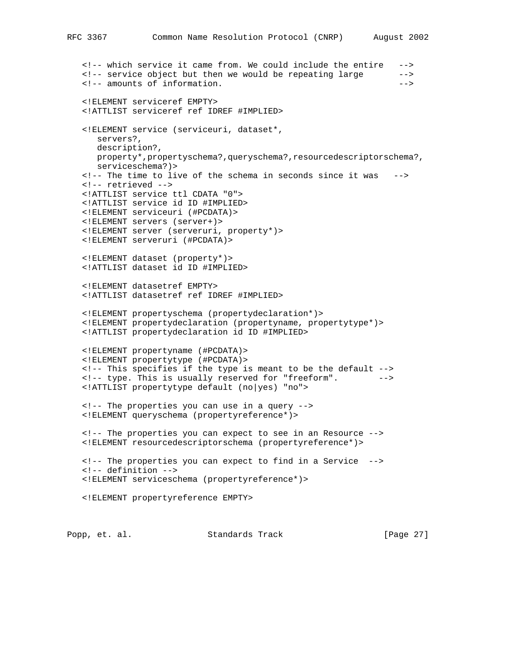```
 <!-- which service it came from. We could include the entire -->
 <!-- service object but then we would be repeating large -->
 <!-- amounts of information. -->
 <!ELEMENT serviceref EMPTY>
 <!ATTLIST serviceref ref IDREF #IMPLIED>
 <!ELEMENT service (serviceuri, dataset*,
   servers?,
   description?,
  property*,propertyschema?,queryschema?,resourcedescriptorschema?,
   serviceschema?)>
 <!-- The time to live of the schema in seconds since it was -->
 <!-- retrieved -->
 <!ATTLIST service ttl CDATA "0">
 <!ATTLIST service id ID #IMPLIED>
 <!ELEMENT serviceuri (#PCDATA)>
 <!ELEMENT servers (server+)>
 <!ELEMENT server (serveruri, property*)>
 <!ELEMENT serveruri (#PCDATA)>
 <!ELEMENT dataset (property*)>
 <!ATTLIST dataset id ID #IMPLIED>
 <!ELEMENT datasetref EMPTY>
 <!ATTLIST datasetref ref IDREF #IMPLIED>
 <!ELEMENT propertyschema (propertydeclaration*)>
 <!ELEMENT propertydeclaration (propertyname, propertytype*)>
 <!ATTLIST propertydeclaration id ID #IMPLIED>
 <!ELEMENT propertyname (#PCDATA)>
 <!ELEMENT propertytype (#PCDATA)>
 <!-- This specifies if the type is meant to be the default -->
 <!-- type. This is usually reserved for "freeform". -->
 <!ATTLIST propertytype default (no|yes) "no">
 <!-- The properties you can use in a query -->
 <!ELEMENT queryschema (propertyreference*)>
 <!-- The properties you can expect to see in an Resource -->
 <!ELEMENT resourcedescriptorschema (propertyreference*)>
 <!-- The properties you can expect to find in a Service -->
 <!-- definition -->
 <!ELEMENT serviceschema (propertyreference*)>
 <!ELEMENT propertyreference EMPTY>
```
Popp, et. al. Standards Track [Page 27]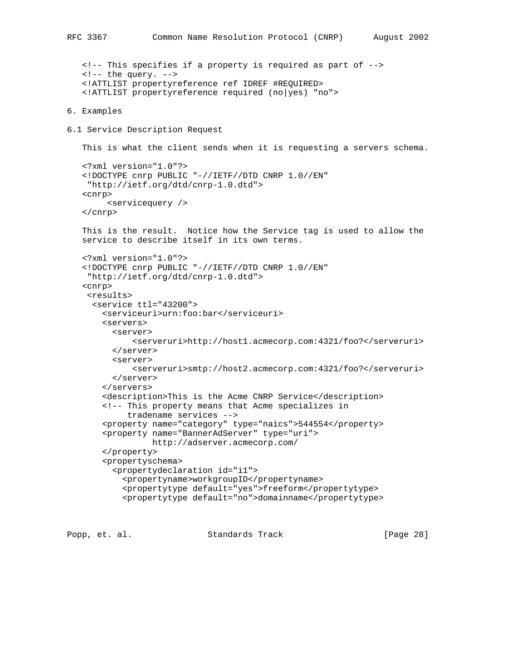<!-- This specifies if a property is required as part of -->  $\langle$  :-- the query. --> <!ATTLIST propertyreference ref IDREF #REQUIRED> <!ATTLIST propertyreference required (no|yes) "no"> 6. Examples 6.1 Service Description Request This is what the client sends when it is requesting a servers schema. <?xml version="1.0"?> <!DOCTYPE cnrp PUBLIC "-//IETF//DTD CNRP 1.0//EN" "http://ietf.org/dtd/cnrp-1.0.dtd"> <cnrp> <servicequery /> </cnrp> This is the result. Notice how the Service tag is used to allow the service to describe itself in its own terms. <?xml version="1.0"?> <!DOCTYPE cnrp PUBLIC "-//IETF//DTD CNRP 1.0//EN" "http://ietf.org/dtd/cnrp-1.0.dtd"> <cnrp> <results> <service ttl="43200"> <serviceuri>urn:foo:bar</serviceuri> <servers> <server> <serveruri>http://host1.acmecorp.com:4321/foo?</serveruri> </server> <server> <serveruri>smtp://host2.acmecorp.com:4321/foo?</serveruri> </server> </servers> <description>This is the Acme CNRP Service</description> <!-- This property means that Acme specializes in tradename services --> <property name="category" type="naics">544554</property> <property name="BannerAdServer" type="uri"> http://adserver.acmecorp.com/ </property> <propertyschema> <propertydeclaration id="i1"> <propertyname>workgroupID</propertyname> <propertytype default="yes">freeform</propertytype> <propertytype default="no">domainname</propertytype>

Popp, et. al. Standards Track [Page 28]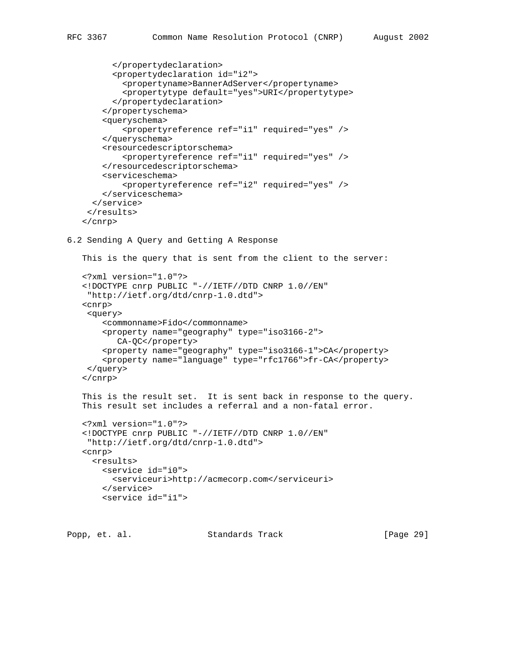```
 </propertydeclaration>
          <propertydeclaration id="i2">
            <propertyname>BannerAdServer</propertyname>
            <propertytype default="yes">URI</propertytype>
          </propertydeclaration>
        </propertyschema>
        <queryschema>
            <propertyreference ref="i1" required="yes" />
        </queryschema>
        <resourcedescriptorschema>
            <propertyreference ref="i1" required="yes" />
        </resourcedescriptorschema>
        <serviceschema>
            <propertyreference ref="i2" required="yes" />
        </serviceschema>
      </service>
     </results>
    </cnrp>
6.2 Sending A Query and Getting A Response
    This is the query that is sent from the client to the server:
    <?xml version="1.0"?>
    <!DOCTYPE cnrp PUBLIC "-//IETF//DTD CNRP 1.0//EN"
     "http://ietf.org/dtd/cnrp-1.0.dtd">
    <cnrp>
     <query>
        <commonname>Fido</commonname>
        <property name="geography" type="iso3166-2">
           CA-QC</property>
        <property name="geography" type="iso3166-1">CA</property>
        <property name="language" type="rfc1766">fr-CA</property>
     </query>
    </cnrp>
    This is the result set. It is sent back in response to the query.
    This result set includes a referral and a non-fatal error.
    <?xml version="1.0"?>
    <!DOCTYPE cnrp PUBLIC "-//IETF//DTD CNRP 1.0//EN"
     "http://ietf.org/dtd/cnrp-1.0.dtd">
    <cnrp>
      <results>
        <service id="i0">
         <serviceuri>http://acmecorp.com</serviceuri>
        </service>
        <service id="i1">
```
Popp, et. al. Standards Track [Page 29]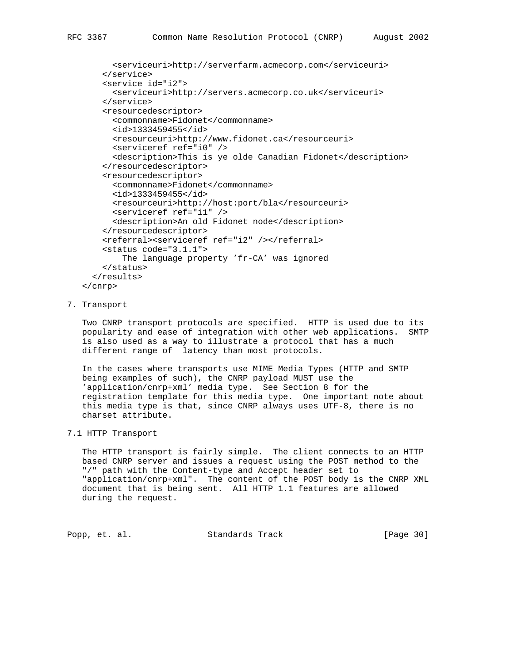```
 <serviceuri>http://serverfarm.acmecorp.com</serviceuri>
 </service>
 <service id="i2">
   <serviceuri>http://servers.acmecorp.co.uk</serviceuri>
 </service>
 <resourcedescriptor>
  <commonname>Fidonet</commonname>
  <id>1333459455</id>
  <resourceuri>http://www.fidonet.ca</resourceuri>
  <serviceref ref="i0" />
  <description>This is ye olde Canadian Fidonet</description>
 </resourcedescriptor>
 <resourcedescriptor>
   <commonname>Fidonet</commonname>
   <id>1333459455</id>
```

```
 <resourceuri>http://host:port/bla</resourceuri>
     <serviceref ref="i1" />
     <description>An old Fidonet node</description>
   </resourcedescriptor>
   <referral><serviceref ref="i2" /></referral>
   <status code="3.1.1">
       The language property 'fr-CA' was ignored
  </status>
 </results>
```

```
 </cnrp>
```
#### 7. Transport

 Two CNRP transport protocols are specified. HTTP is used due to its popularity and ease of integration with other web applications. SMTP is also used as a way to illustrate a protocol that has a much different range of latency than most protocols.

 In the cases where transports use MIME Media Types (HTTP and SMTP being examples of such), the CNRP payload MUST use the 'application/cnrp+xml' media type. See Section 8 for the registration template for this media type. One important note about this media type is that, since CNRP always uses UTF-8, there is no charset attribute.

# 7.1 HTTP Transport

 The HTTP transport is fairly simple. The client connects to an HTTP based CNRP server and issues a request using the POST method to the "/" path with the Content-type and Accept header set to "application/cnrp+xml". The content of the POST body is the CNRP XML document that is being sent. All HTTP 1.1 features are allowed during the request.

Popp, et. al. Standards Track [Page 30]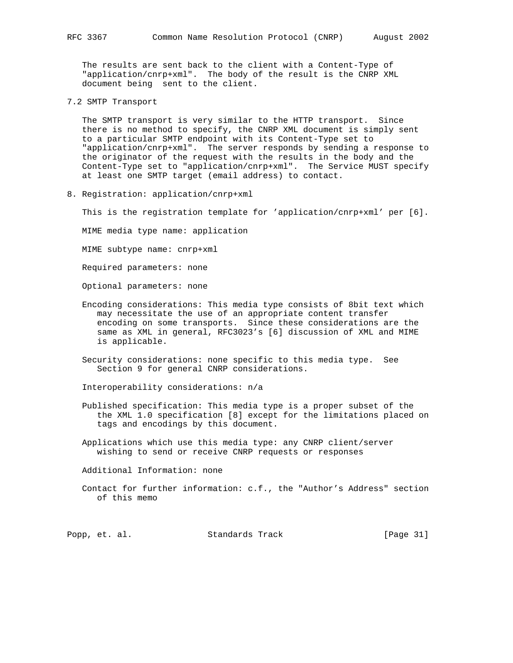The results are sent back to the client with a Content-Type of "application/cnrp+xml". The body of the result is the CNRP XML document being sent to the client.

7.2 SMTP Transport

 The SMTP transport is very similar to the HTTP transport. Since there is no method to specify, the CNRP XML document is simply sent to a particular SMTP endpoint with its Content-Type set to "application/cnrp+xml". The server responds by sending a response to the originator of the request with the results in the body and the Content-Type set to "application/cnrp+xml". The Service MUST specify at least one SMTP target (email address) to contact.

8. Registration: application/cnrp+xml

This is the registration template for 'application/cnrp+xml' per [6].

MIME media type name: application

MIME subtype name: cnrp+xml

Required parameters: none

Optional parameters: none

- Encoding considerations: This media type consists of 8bit text which may necessitate the use of an appropriate content transfer encoding on some transports. Since these considerations are the same as XML in general, RFC3023's [6] discussion of XML and MIME is applicable.
- Security considerations: none specific to this media type. See Section 9 for general CNRP considerations.

Interoperability considerations: n/a

- Published specification: This media type is a proper subset of the the XML 1.0 specification [8] except for the limitations placed on tags and encodings by this document.
- Applications which use this media type: any CNRP client/server wishing to send or receive CNRP requests or responses
- Additional Information: none
- Contact for further information: c.f., the "Author's Address" section of this memo

Popp, et. al. Standards Track [Page 31]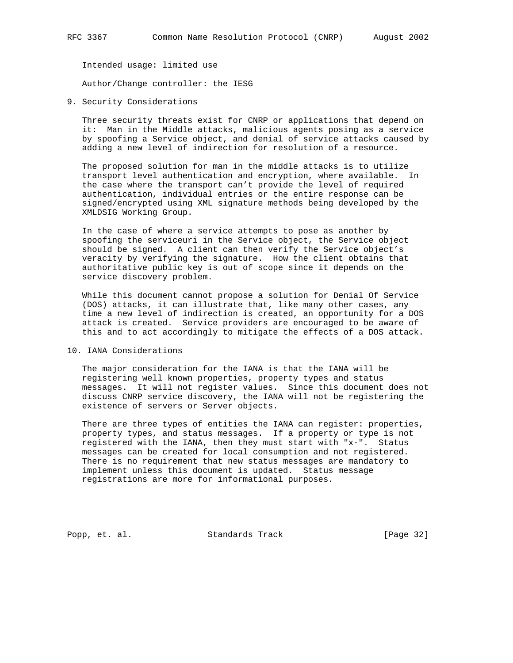Intended usage: limited use

Author/Change controller: the IESG

9. Security Considerations

 Three security threats exist for CNRP or applications that depend on it: Man in the Middle attacks, malicious agents posing as a service by spoofing a Service object, and denial of service attacks caused by adding a new level of indirection for resolution of a resource.

 The proposed solution for man in the middle attacks is to utilize transport level authentication and encryption, where available. In the case where the transport can't provide the level of required authentication, individual entries or the entire response can be signed/encrypted using XML signature methods being developed by the XMLDSIG Working Group.

 In the case of where a service attempts to pose as another by spoofing the serviceuri in the Service object, the Service object should be signed. A client can then verify the Service object's veracity by verifying the signature. How the client obtains that authoritative public key is out of scope since it depends on the service discovery problem.

 While this document cannot propose a solution for Denial Of Service (DOS) attacks, it can illustrate that, like many other cases, any time a new level of indirection is created, an opportunity for a DOS attack is created. Service providers are encouraged to be aware of this and to act accordingly to mitigate the effects of a DOS attack.

10. IANA Considerations

 The major consideration for the IANA is that the IANA will be registering well known properties, property types and status messages. It will not register values. Since this document does not discuss CNRP service discovery, the IANA will not be registering the existence of servers or Server objects.

 There are three types of entities the IANA can register: properties, property types, and status messages. If a property or type is not registered with the IANA, then they must start with "x-". Status messages can be created for local consumption and not registered. There is no requirement that new status messages are mandatory to implement unless this document is updated. Status message registrations are more for informational purposes.

Popp, et. al. Standards Track [Page 32]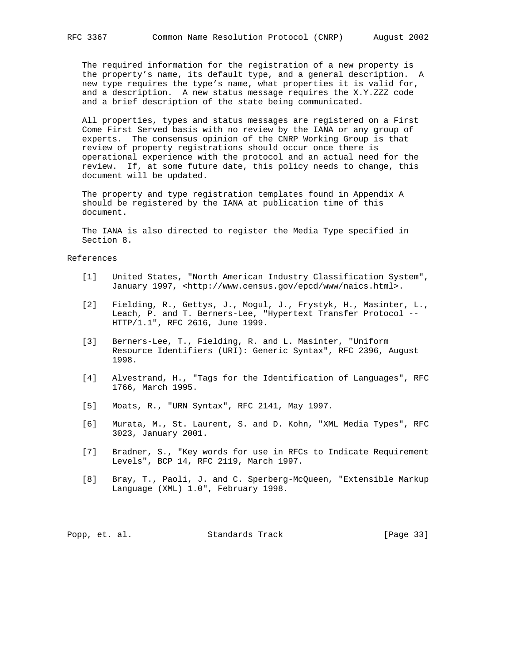The required information for the registration of a new property is the property's name, its default type, and a general description. A new type requires the type's name, what properties it is valid for, and a description. A new status message requires the X.Y.ZZZ code and a brief description of the state being communicated.

 All properties, types and status messages are registered on a First Come First Served basis with no review by the IANA or any group of experts. The consensus opinion of the CNRP Working Group is that review of property registrations should occur once there is operational experience with the protocol and an actual need for the review. If, at some future date, this policy needs to change, this document will be updated.

 The property and type registration templates found in Appendix A should be registered by the IANA at publication time of this document.

 The IANA is also directed to register the Media Type specified in Section 8.

# References

- [1] United States, "North American Industry Classification System", January 1997, <http://www.census.gov/epcd/www/naics.html>.
- [2] Fielding, R., Gettys, J., Mogul, J., Frystyk, H., Masinter, L., Leach, P. and T. Berners-Lee, "Hypertext Transfer Protocol -- HTTP/1.1", RFC 2616, June 1999.
- [3] Berners-Lee, T., Fielding, R. and L. Masinter, "Uniform Resource Identifiers (URI): Generic Syntax", RFC 2396, August 1998.
- [4] Alvestrand, H., "Tags for the Identification of Languages", RFC 1766, March 1995.
- [5] Moats, R., "URN Syntax", RFC 2141, May 1997.
- [6] Murata, M., St. Laurent, S. and D. Kohn, "XML Media Types", RFC 3023, January 2001.
- [7] Bradner, S., "Key words for use in RFCs to Indicate Requirement Levels", BCP 14, RFC 2119, March 1997.
- [8] Bray, T., Paoli, J. and C. Sperberg-McQueen, "Extensible Markup Language (XML) 1.0", February 1998.

Popp, et. al. Standards Track [Page 33]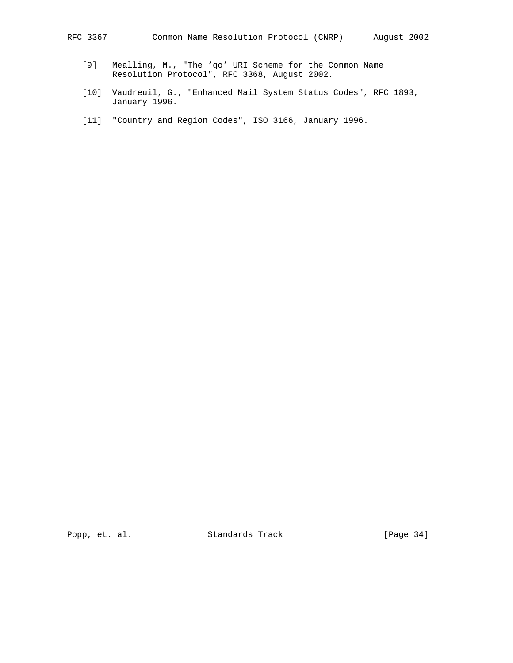- [9] Mealling, M., "The 'go' URI Scheme for the Common Name Resolution Protocol", RFC 3368, August 2002.
- [10] Vaudreuil, G., "Enhanced Mail System Status Codes", RFC 1893, January 1996.
- [11] "Country and Region Codes", ISO 3166, January 1996.

Popp, et. al. Standards Track [Page 34]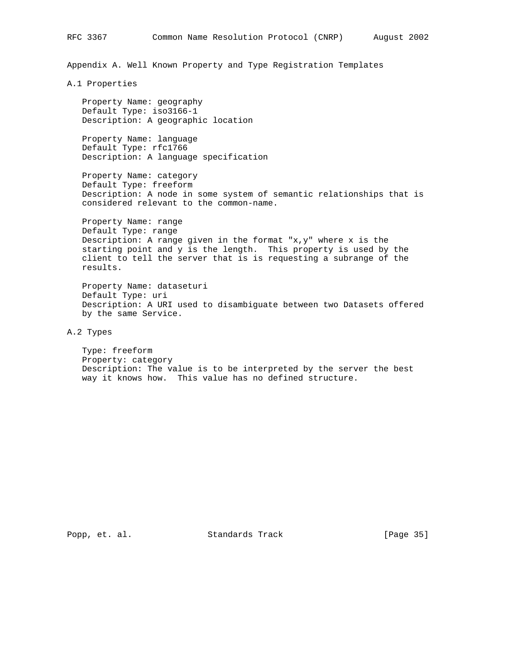Appendix A. Well Known Property and Type Registration Templates

A.1 Properties

 Property Name: geography Default Type: iso3166-1 Description: A geographic location

 Property Name: language Default Type: rfc1766 Description: A language specification

 Property Name: category Default Type: freeform Description: A node in some system of semantic relationships that is considered relevant to the common-name.

 Property Name: range Default Type: range Description: A range given in the format " $x, y$ " where  $x$  is the starting point and y is the length. This property is used by the client to tell the server that is is requesting a subrange of the results.

 Property Name: dataseturi Default Type: uri Description: A URI used to disambiguate between two Datasets offered by the same Service.

A.2 Types

 Type: freeform Property: category Description: The value is to be interpreted by the server the best way it knows how. This value has no defined structure.

Popp, et. al. Standards Track [Page 35]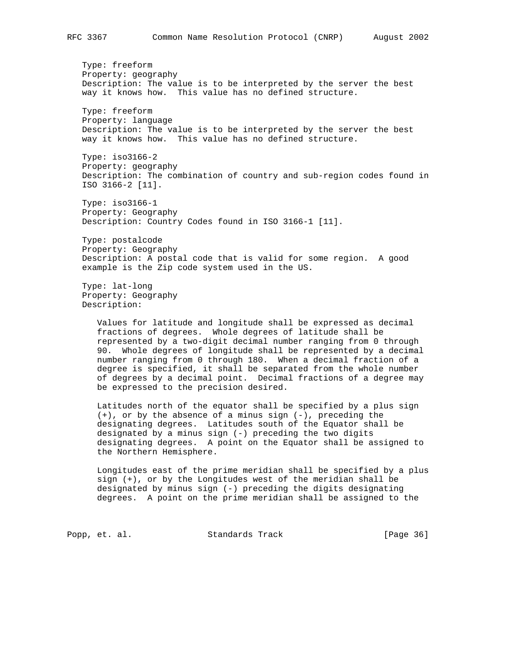Type: freeform Property: geography Description: The value is to be interpreted by the server the best way it knows how. This value has no defined structure.

 Type: freeform Property: language Description: The value is to be interpreted by the server the best way it knows how. This value has no defined structure.

 Type: iso3166-2 Property: geography Description: The combination of country and sub-region codes found in ISO 3166-2 [11].

 Type: iso3166-1 Property: Geography Description: Country Codes found in ISO 3166-1 [11].

 Type: postalcode Property: Geography Description: A postal code that is valid for some region. A good example is the Zip code system used in the US.

 Type: lat-long Property: Geography Description:

> Values for latitude and longitude shall be expressed as decimal fractions of degrees. Whole degrees of latitude shall be represented by a two-digit decimal number ranging from 0 through 90. Whole degrees of longitude shall be represented by a decimal number ranging from 0 through 180. When a decimal fraction of a degree is specified, it shall be separated from the whole number of degrees by a decimal point. Decimal fractions of a degree may be expressed to the precision desired.

> Latitudes north of the equator shall be specified by a plus sign (+), or by the absence of a minus sign (-), preceding the designating degrees. Latitudes south of the Equator shall be designated by a minus sign (-) preceding the two digits designating degrees. A point on the Equator shall be assigned to the Northern Hemisphere.

 Longitudes east of the prime meridian shall be specified by a plus sign (+), or by the Longitudes west of the meridian shall be designated by minus sign (-) preceding the digits designating degrees. A point on the prime meridian shall be assigned to the

Popp, et. al. Standards Track [Page 36]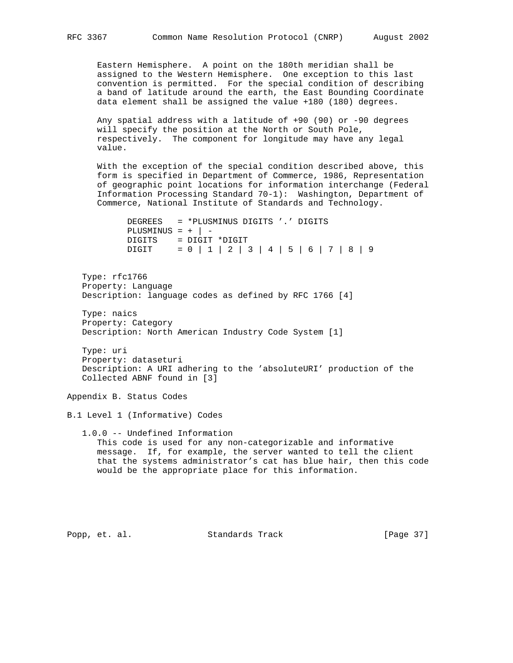Eastern Hemisphere. A point on the 180th meridian shall be assigned to the Western Hemisphere. One exception to this last convention is permitted. For the special condition of describing a band of latitude around the earth, the East Bounding Coordinate data element shall be assigned the value +180 (180) degrees.

 Any spatial address with a latitude of +90 (90) or -90 degrees will specify the position at the North or South Pole, respectively. The component for longitude may have any legal value.

 With the exception of the special condition described above, this form is specified in Department of Commerce, 1986, Representation of geographic point locations for information interchange (Federal Information Processing Standard 70-1): Washington, Department of Commerce, National Institute of Standards and Technology.

```
 DEGREES = *PLUSMINUS DIGITS '.' DIGITS
PLUSMINUS = + | -
 DIGITS = DIGIT *DIGIT
DIGIT = 0 | 1 | 2 | 3 | 4 | 5 | 6 | 7 | 8 | 9
```
 Type: rfc1766 Property: Language Description: language codes as defined by RFC 1766 [4]

 Type: naics Property: Category Description: North American Industry Code System [1]

 Type: uri Property: dataseturi Description: A URI adhering to the 'absoluteURI' production of the Collected ABNF found in [3]

Appendix B. Status Codes

B.1 Level 1 (Informative) Codes

 1.0.0 -- Undefined Information This code is used for any non-categorizable and informative message. If, for example, the server wanted to tell the client that the systems administrator's cat has blue hair, then this code would be the appropriate place for this information.

Popp, et. al. Standards Track [Page 37]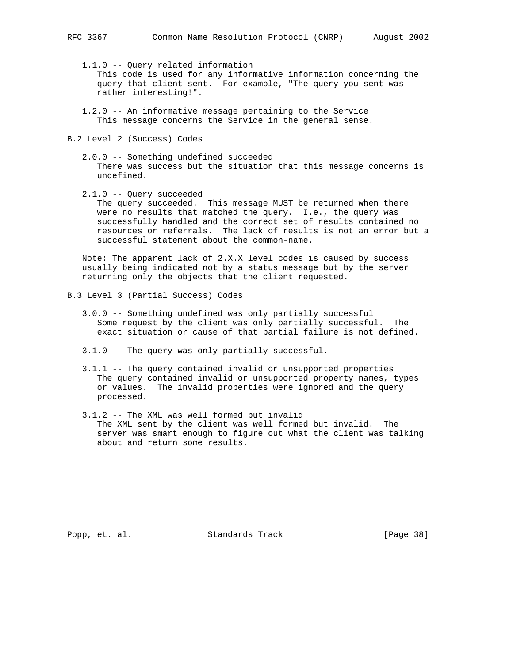1.1.0 -- Query related information This code is used for any informative information concerning the query that client sent. For example, "The query you sent was rather interesting!".

- 1.2.0 -- An informative message pertaining to the Service This message concerns the Service in the general sense.
- B.2 Level 2 (Success) Codes
	- 2.0.0 -- Something undefined succeeded There was success but the situation that this message concerns is undefined.
	- 2.1.0 -- Query succeeded

 The query succeeded. This message MUST be returned when there were no results that matched the query. I.e., the query was successfully handled and the correct set of results contained no resources or referrals. The lack of results is not an error but a successful statement about the common-name.

 Note: The apparent lack of 2.X.X level codes is caused by success usually being indicated not by a status message but by the server returning only the objects that the client requested.

- B.3 Level 3 (Partial Success) Codes
	- 3.0.0 -- Something undefined was only partially successful Some request by the client was only partially successful. The exact situation or cause of that partial failure is not defined.
	- 3.1.0 -- The query was only partially successful.
	- 3.1.1 -- The query contained invalid or unsupported properties The query contained invalid or unsupported property names, types or values. The invalid properties were ignored and the query processed.
	- 3.1.2 -- The XML was well formed but invalid The XML sent by the client was well formed but invalid. The server was smart enough to figure out what the client was talking about and return some results.

Popp, et. al. Standards Track [Page 38]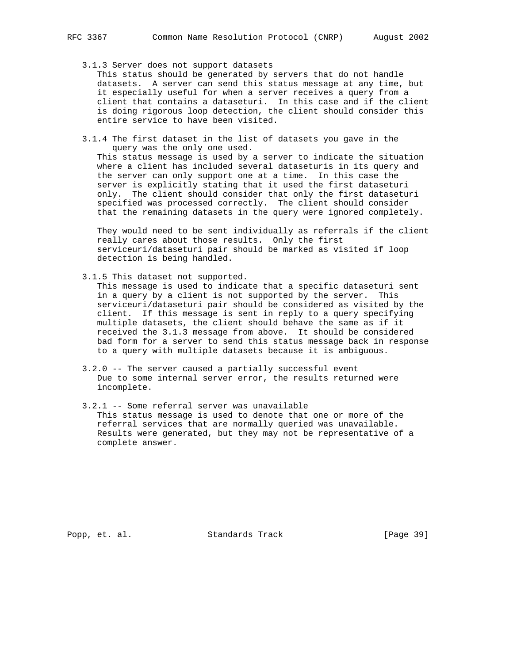3.1.3 Server does not support datasets

 This status should be generated by servers that do not handle datasets. A server can send this status message at any time, but it especially useful for when a server receives a query from a client that contains a dataseturi. In this case and if the client is doing rigorous loop detection, the client should consider this entire service to have been visited.

 3.1.4 The first dataset in the list of datasets you gave in the query was the only one used.

 This status message is used by a server to indicate the situation where a client has included several dataseturis in its query and the server can only support one at a time. In this case the server is explicitly stating that it used the first dataseturi only. The client should consider that only the first dataseturi specified was processed correctly. The client should consider that the remaining datasets in the query were ignored completely.

 They would need to be sent individually as referrals if the client really cares about those results. Only the first serviceuri/dataseturi pair should be marked as visited if loop detection is being handled.

3.1.5 This dataset not supported.

 This message is used to indicate that a specific dataseturi sent in a query by a client is not supported by the server. This serviceuri/dataseturi pair should be considered as visited by the client. If this message is sent in reply to a query specifying multiple datasets, the client should behave the same as if it received the 3.1.3 message from above. It should be considered bad form for a server to send this status message back in response to a query with multiple datasets because it is ambiguous.

- 3.2.0 -- The server caused a partially successful event Due to some internal server error, the results returned were incomplete.
- 3.2.1 -- Some referral server was unavailable This status message is used to denote that one or more of the referral services that are normally queried was unavailable. Results were generated, but they may not be representative of a complete answer.

Popp, et. al. Standards Track [Page 39]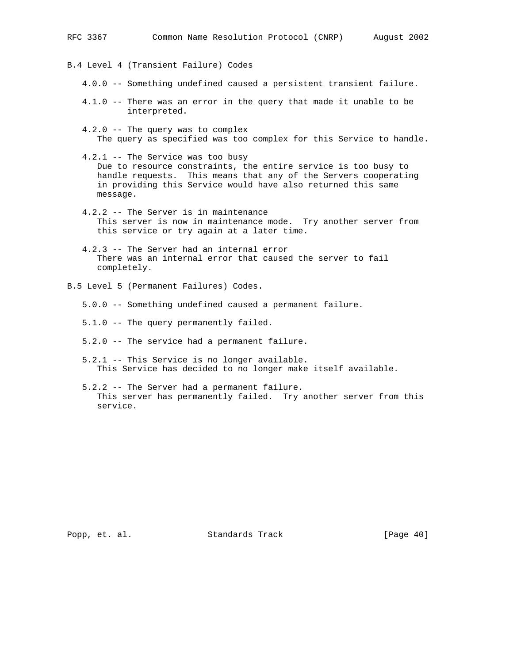```
RFC 3367 Common Name Resolution Protocol (CNRP) August 2002
B.4 Level 4 (Transient Failure) Codes
    4.0.0 -- Something undefined caused a persistent transient failure.
    4.1.0 -- There was an error in the query that made it unable to be
             interpreted.
    4.2.0 -- The query was to complex
       The query as specified was too complex for this Service to handle.
    4.2.1 -- The Service was too busy
      Due to resource constraints, the entire service is too busy to
      handle requests. This means that any of the Servers cooperating
       in providing this Service would have also returned this same
      message.
    4.2.2 -- The Server is in maintenance
       This server is now in maintenance mode. Try another server from
       this service or try again at a later time.
    4.2.3 -- The Server had an internal error
       There was an internal error that caused the server to fail
      completely.
B.5 Level 5 (Permanent Failures) Codes.
    5.0.0 -- Something undefined caused a permanent failure.
    5.1.0 -- The query permanently failed.
    5.2.0 -- The service had a permanent failure.
    5.2.1 -- This Service is no longer available.
       This Service has decided to no longer make itself available.
    5.2.2 -- The Server had a permanent failure.
```
service.

Popp, et. al. Standards Track [Page 40]

This server has permanently failed. Try another server from this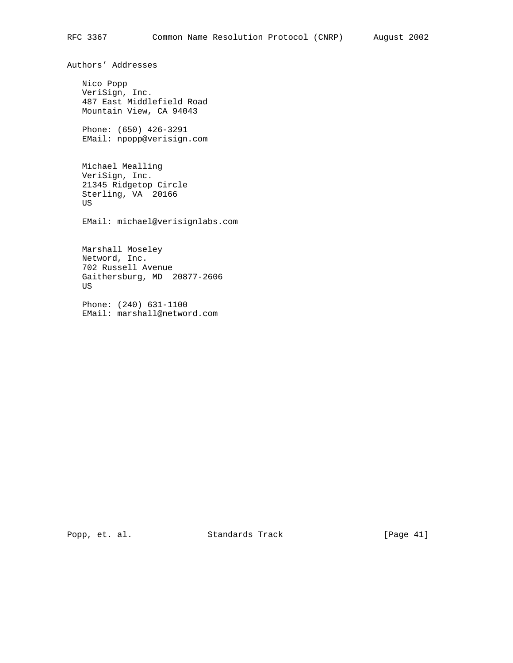Authors' Addresses

 Nico Popp VeriSign, Inc. 487 East Middlefield Road Mountain View, CA 94043

 Phone: (650) 426-3291 EMail: npopp@verisign.com

 Michael Mealling VeriSign, Inc. 21345 Ridgetop Circle Sterling, VA 20166 US

EMail: michael@verisignlabs.com

 Marshall Moseley Netword, Inc. 702 Russell Avenue Gaithersburg, MD 20877-2606 US

 Phone: (240) 631-1100 EMail: marshall@netword.com

Popp, et. al. Standards Track [Page 41]